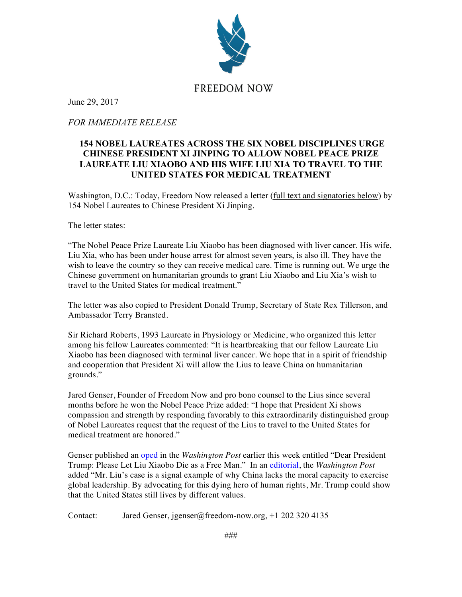

June 29, 2017

*FOR IMMEDIATE RELEASE*

## **154 NOBEL LAUREATES ACROSS THE SIX NOBEL DISCIPLINES URGE CHINESE PRESIDENT XI JINPING TO ALLOW NOBEL PEACE PRIZE LAUREATE LIU XIAOBO AND HIS WIFE LIU XIA TO TRAVEL TO THE UNITED STATES FOR MEDICAL TREATMENT**

Washington, D.C.: Today, Freedom Now released a letter (full text and signatories below) by 154 Nobel Laureates to Chinese President Xi Jinping.

The letter states:

"The Nobel Peace Prize Laureate Liu Xiaobo has been diagnosed with liver cancer. His wife, Liu Xia, who has been under house arrest for almost seven years, is also ill. They have the wish to leave the country so they can receive medical care. Time is running out. We urge the Chinese government on humanitarian grounds to grant Liu Xiaobo and Liu Xia's wish to travel to the United States for medical treatment."

The letter was also copied to President Donald Trump, Secretary of State Rex Tillerson, and Ambassador Terry Bransted.

Sir Richard Roberts, 1993 Laureate in Physiology or Medicine, who organized this letter among his fellow Laureates commented: "It is heartbreaking that our fellow Laureate Liu Xiaobo has been diagnosed with terminal liver cancer. We hope that in a spirit of friendship and cooperation that President Xi will allow the Lius to leave China on humanitarian grounds."

Jared Genser, Founder of Freedom Now and pro bono counsel to the Lius since several months before he won the Nobel Peace Prize added: "I hope that President Xi shows compassion and strength by responding favorably to this extraordinarily distinguished group of Nobel Laureates request that the request of the Lius to travel to the United States for medical treatment are honored."

Genser published an oped in the *Washington Post* earlier this week entitled "Dear President Trump: Please Let Liu Xiaobo Die as a Free Man." In an editorial, the *Washington Post* added "Mr. Liu's case is a signal example of why China lacks the moral capacity to exercise global leadership. By advocating for this dying hero of human rights, Mr. Trump could show that the United States still lives by different values.

Contact: Jared Genser, jgenser@freedom-now.org, +1 202 320 4135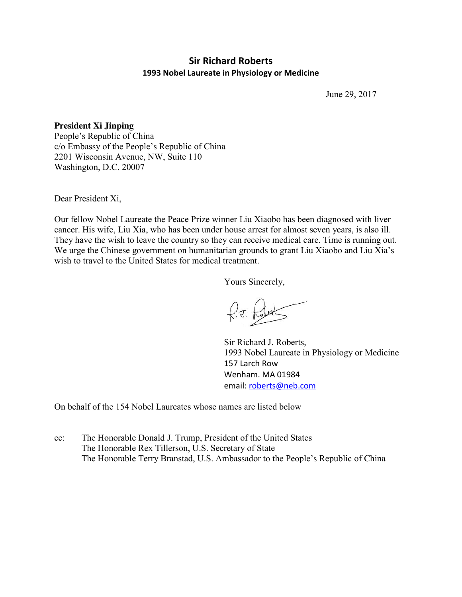## **Sir Richard Roberts 1993 Nobel Laureate in Physiology or Medicine**

June 29, 2017

**President Xi Jinping** People's Republic of China c/o Embassy of the People's Republic of China 2201 Wisconsin Avenue, NW, Suite 110 Washington, D.C. 20007

Dear President Xi,

Our fellow Nobel Laureate the Peace Prize winner Liu Xiaobo has been diagnosed with liver cancer. His wife, Liu Xia, who has been under house arrest for almost seven years, is also ill. They have the wish to leave the country so they can receive medical care. Time is running out. We urge the Chinese government on humanitarian grounds to grant Liu Xiaobo and Liu Xia's wish to travel to the United States for medical treatment.

Yours Sincerely,

 $f.5.$   $f.$ 

Sir Richard J. Roberts, 1993 Nobel Laureate in Physiology or Medicine 157 Larch Row Wenham. MA 01984 email[: roberts@neb.com](mailto:roberts@neb.com)

On behalf of the 154 Nobel Laureates whose names are listed below

cc: The Honorable Donald J. Trump, President of the United States The Honorable Rex Tillerson, U.S. Secretary of State The Honorable Terry Branstad, U.S. Ambassador to the People's Republic of China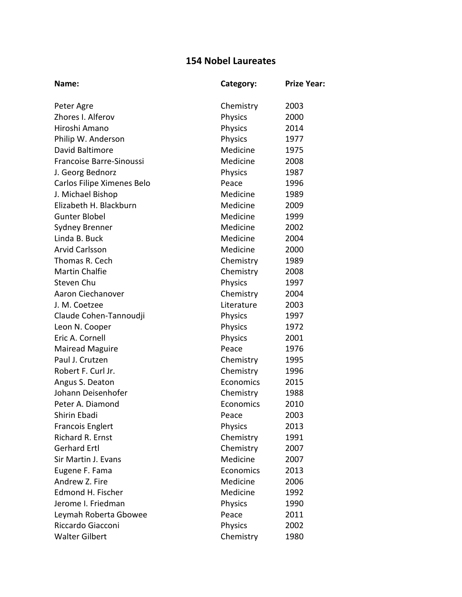## **154 Nobel Laureates**

| Name:                      | Category:      | <b>Prize Year:</b> |
|----------------------------|----------------|--------------------|
| Peter Agre                 | Chemistry      | 2003               |
| Zhores I. Alferov          | Physics        | 2000               |
| Hiroshi Amano              | Physics        | 2014               |
| Philip W. Anderson         | Physics        | 1977               |
| David Baltimore            | Medicine       | 1975               |
| Francoise Barre-Sinoussi   | Medicine       | 2008               |
| J. Georg Bednorz           | <b>Physics</b> | 1987               |
| Carlos Filipe Ximenes Belo | Peace          | 1996               |
| J. Michael Bishop          | Medicine       | 1989               |
| Elizabeth H. Blackburn     | Medicine       | 2009               |
| <b>Gunter Blobel</b>       | Medicine       | 1999               |
| <b>Sydney Brenner</b>      | Medicine       | 2002               |
| Linda B. Buck              | Medicine       | 2004               |
| <b>Arvid Carlsson</b>      | Medicine       | 2000               |
| Thomas R. Cech             | Chemistry      | 1989               |
| <b>Martin Chalfie</b>      | Chemistry      | 2008               |
| Steven Chu                 | Physics        | 1997               |
| Aaron Ciechanover          | Chemistry      | 2004               |
| J. M. Coetzee              | Literature     | 2003               |
| Claude Cohen-Tannoudji     | Physics        | 1997               |
| Leon N. Cooper             | Physics        | 1972               |
| Eric A. Cornell            | Physics        | 2001               |
| <b>Mairead Maguire</b>     | Peace          | 1976               |
| Paul J. Crutzen            | Chemistry      | 1995               |
| Robert F. Curl Jr.         | Chemistry      | 1996               |
| Angus S. Deaton            | Economics      | 2015               |
| Johann Deisenhofer         | Chemistry      | 1988               |
| Peter A. Diamond           | Economics      | 2010               |
| Shirin Ebadi               | Peace          | 2003               |
| <b>Francois Englert</b>    | <b>Physics</b> | 2013               |
| Richard R. Ernst           | Chemistry      | 1991               |
| <b>Gerhard Ertl</b>        | Chemistry      | 2007               |
| Sir Martin J. Evans        | Medicine       | 2007               |
| Eugene F. Fama             | Economics      | 2013               |
| Andrew Z. Fire             | Medicine       | 2006               |
| Edmond H. Fischer          | Medicine       | 1992               |
| Jerome I. Friedman         | Physics        | 1990               |
| Leymah Roberta Gbowee      | Peace          | 2011               |
| Riccardo Giacconi          | Physics        | 2002               |
| <b>Walter Gilbert</b>      | Chemistry      | 1980               |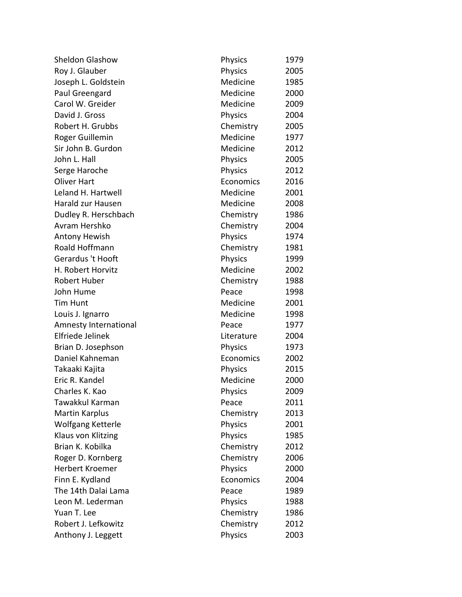| <b>Sheldon Glashow</b> | Physics        | 1979 |
|------------------------|----------------|------|
| Roy J. Glauber         | Physics        | 2005 |
| Joseph L. Goldstein    | Medicine       | 1985 |
| Paul Greengard         | Medicine       | 2000 |
| Carol W. Greider       | Medicine       | 2009 |
| David J. Gross         | Physics        | 2004 |
| Robert H. Grubbs       | Chemistry      | 2005 |
| Roger Guillemin        | Medicine       | 1977 |
| Sir John B. Gurdon     | Medicine       | 2012 |
| John L. Hall           | <b>Physics</b> | 2005 |
| Serge Haroche          | Physics        | 2012 |
| <b>Oliver Hart</b>     | Economics      | 2016 |
| Leland H. Hartwell     | Medicine       | 2001 |
| Harald zur Hausen      | Medicine       | 2008 |
| Dudley R. Herschbach   | Chemistry      | 1986 |
| Avram Hershko          | Chemistry      | 2004 |
| <b>Antony Hewish</b>   | <b>Physics</b> | 1974 |
| Roald Hoffmann         | Chemistry      | 1981 |
| Gerardus 't Hooft      | Physics        | 1999 |
| H. Robert Horvitz      | Medicine       | 2002 |
| Robert Huber           | Chemistry      | 1988 |
| John Hume              | Peace          | 1998 |
| <b>Tim Hunt</b>        | Medicine       | 2001 |
| Louis J. Ignarro       | Medicine       | 1998 |
| Amnesty International  | Peace          | 1977 |
| Elfriede Jelinek       | Literature     | 2004 |
| Brian D. Josephson     | Physics        | 1973 |
| Daniel Kahneman        | Economics      | 2002 |
| Takaaki Kajita         | <b>Physics</b> | 2015 |
| Eric R. Kandel         | Medicine       | 2000 |
| Charles K. Kao         | Physics        | 2009 |
| Tawakkul Karman        | Peace          | 2011 |
| <b>Martin Karplus</b>  | Chemistry      | 2013 |
| Wolfgang Ketterle      | <b>Physics</b> | 2001 |
| Klaus von Klitzing     | Physics        | 1985 |
| Brian K. Kobilka       | Chemistry      | 2012 |
| Roger D. Kornberg      | Chemistry      | 2006 |
| Herbert Kroemer        | <b>Physics</b> | 2000 |
| Finn E. Kydland        | Economics      | 2004 |
| The 14th Dalai Lama    | Peace          | 1989 |
| Leon M. Lederman       | Physics        | 1988 |
| Yuan T. Lee            | Chemistry      | 1986 |
| Robert J. Lefkowitz    | Chemistry      | 2012 |
| Anthony J. Leggett     | Physics        | 2003 |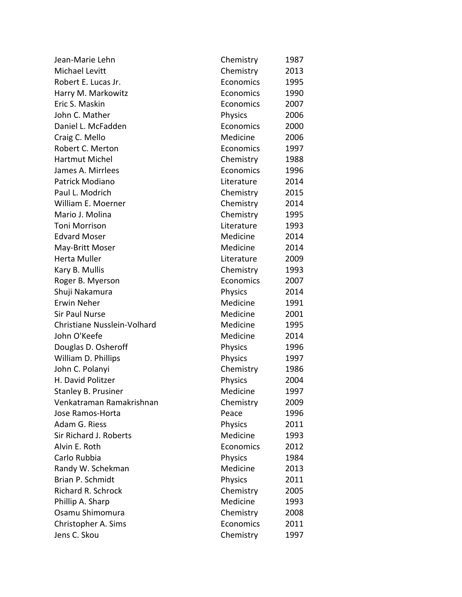| Jean-Marie Lehn             | Chemistry      | 1987 |
|-----------------------------|----------------|------|
| Michael Levitt              | Chemistry      | 2013 |
| Robert E. Lucas Jr.         | Economics      | 1995 |
| Harry M. Markowitz          | Economics      | 1990 |
| Eric S. Maskin              | Economics      | 2007 |
| John C. Mather              | Physics        | 2006 |
| Daniel L. McFadden          | Economics      | 2000 |
| Craig C. Mello              | Medicine       | 2006 |
| Robert C. Merton            | Economics      | 1997 |
| Hartmut Michel              | Chemistry      | 1988 |
| James A. Mirrlees           | Economics      | 1996 |
| Patrick Modiano             | Literature     | 2014 |
| Paul L. Modrich             | Chemistry      | 2015 |
| William E. Moerner          | Chemistry      | 2014 |
| Mario J. Molina             | Chemistry      | 1995 |
| <b>Toni Morrison</b>        | Literature     | 1993 |
| <b>Edvard Moser</b>         | Medicine       | 2014 |
| May-Britt Moser             | Medicine       | 2014 |
| Herta Muller                | Literature     | 2009 |
| Kary B. Mullis              | Chemistry      | 1993 |
| Roger B. Myerson            | Economics      | 2007 |
| Shuji Nakamura              | Physics        | 2014 |
| Erwin Neher                 | Medicine       | 1991 |
| <b>Sir Paul Nurse</b>       | Medicine       | 2001 |
| Christiane Nusslein-Volhard | Medicine       | 1995 |
| John O'Keefe                | Medicine       | 2014 |
| Douglas D. Osheroff         | Physics        | 1996 |
| William D. Phillips         | Physics        | 1997 |
| John C. Polanyi             | Chemistry      | 1986 |
| H. David Politzer           | Physics        | 2004 |
| <b>Stanley B. Prusiner</b>  | Medicine       | 1997 |
| Venkatraman Ramakrishnan    | Chemistry      | 2009 |
| Jose Ramos-Horta            | Peace          | 1996 |
| Adam G. Riess               | <b>Physics</b> | 2011 |
| Sir Richard J. Roberts      | Medicine       | 1993 |
| Alvin E. Roth               | Economics      | 2012 |
| Carlo Rubbia                | Physics        | 1984 |
| Randy W. Schekman           | Medicine       | 2013 |
| Brian P. Schmidt            | <b>Physics</b> | 2011 |
| <b>Richard R. Schrock</b>   | Chemistry      | 2005 |
| Phillip A. Sharp            | Medicine       | 1993 |
| Osamu Shimomura             | Chemistry      | 2008 |
| Christopher A. Sims         | Economics      | 2011 |
| Jens C. Skou                | Chemistry      | 1997 |
|                             |                |      |